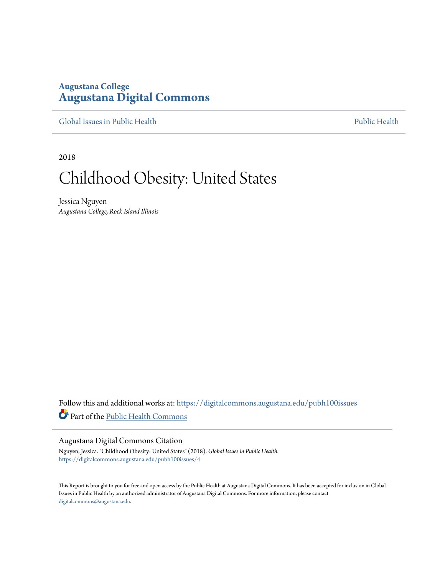## **Augustana College [Augustana Digital Commons](https://digitalcommons.augustana.edu?utm_source=digitalcommons.augustana.edu%2Fpubh100issues%2F4&utm_medium=PDF&utm_campaign=PDFCoverPages)**

[Global Issues in Public Health](https://digitalcommons.augustana.edu/pubh100issues?utm_source=digitalcommons.augustana.edu%2Fpubh100issues%2F4&utm_medium=PDF&utm_campaign=PDFCoverPages) [Public Health](https://digitalcommons.augustana.edu/publichealth?utm_source=digitalcommons.augustana.edu%2Fpubh100issues%2F4&utm_medium=PDF&utm_campaign=PDFCoverPages) Public Health Public Health Public Health

2018

# Childhood Obesity: United States

Jessica Nguyen *Augustana College, Rock Island Illinois*

Follow this and additional works at: [https://digitalcommons.augustana.edu/pubh100issues](https://digitalcommons.augustana.edu/pubh100issues?utm_source=digitalcommons.augustana.edu%2Fpubh100issues%2F4&utm_medium=PDF&utm_campaign=PDFCoverPages) Part of the [Public Health Commons](http://network.bepress.com/hgg/discipline/738?utm_source=digitalcommons.augustana.edu%2Fpubh100issues%2F4&utm_medium=PDF&utm_campaign=PDFCoverPages)

#### Augustana Digital Commons Citation

Nguyen, Jessica. "Childhood Obesity: United States" (2018). *Global Issues in Public Health.* [https://digitalcommons.augustana.edu/pubh100issues/4](https://digitalcommons.augustana.edu/pubh100issues/4?utm_source=digitalcommons.augustana.edu%2Fpubh100issues%2F4&utm_medium=PDF&utm_campaign=PDFCoverPages)

This Report is brought to you for free and open access by the Public Health at Augustana Digital Commons. It has been accepted for inclusion in Global Issues in Public Health by an authorized administrator of Augustana Digital Commons. For more information, please contact [digitalcommons@augustana.edu.](mailto:digitalcommons@augustana.edu)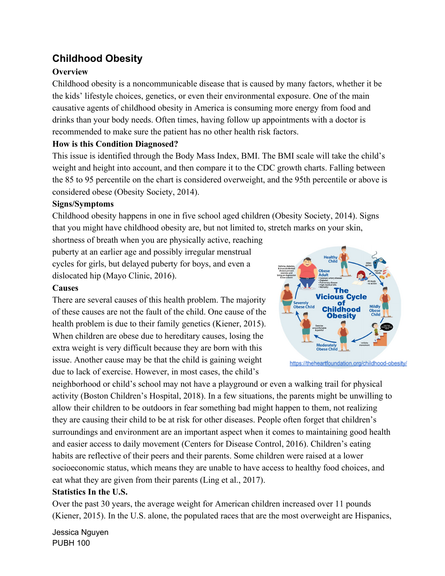## **Childhood Obesity**

### **Overview**

Childhood obesity is a noncommunicable disease that is caused by many factors, whether it be the kids' lifestyle choices, genetics, or even their environmental exposure. One of the main causative agents of childhood obesity in America is consuming more energy from food and drinks than your body needs. Often times, having follow up appointments with a doctor is recommended to make sure the patient has no other health risk factors.

#### **How is this Condition Diagnosed?**

This issue is identified through the Body Mass Index, BMI. The BMI scale will take the child's weight and height into account, and then compare it to the CDC growth charts. Falling between the 85 to 95 percentile on the chart is considered overweight, and the 95th percentile or above is considered obese (Obesity Society, 2014).

#### **Signs/Symptoms**

Childhood obesity happens in one in five school aged children (Obesity Society, 2014). Signs that you might have childhood obesity are, but not limited to, stretch marks on your skin,

shortness of breath when you are physically active, reaching puberty at an earlier age and possibly irregular menstrual cycles for girls, but delayed puberty for boys, and even a dislocated hip (Mayo Clinic, 2016).

#### **Causes**

There are several causes of this health problem. The majority of these causes are not the fault of the child. One cause of the health problem is due to their family genetics (Kiener, 2015). When children are obese due to hereditary causes, losing the extra weight is very difficult because they are born with this issue. Another cause may be that the child is gaining weight due to lack of exercise. However, in most cases, the child's



https://theheartfoundation.org/childhood-obesity/

neighborhood or child's school may not have a playground or even a walking trail for physical activity (Boston Children's Hospital, 2018). In a few situations, the parents might be unwilling to allow their children to be outdoors in fear something bad might happen to them, not realizing they are causing their child to be at risk for other diseases. People often forget that children's surroundings and environment are an important aspect when it comes to maintaining good health and easier access to daily movement (Centers for Disease Control, 2016). Children's eating habits are reflective of their peers and their parents. Some children were raised at a lower socioeconomic status, which means they are unable to have access to healthy food choices, and eat what they are given from their parents (Ling et al., 2017).

#### **Statistics In the U.S.**

Over the past 30 years, the average weight for American children increased over 11 pounds (Kiener, 2015). In the U.S. alone, the populated races that are the most overweight are Hispanics,

Jessica Nguyen PUBH 100